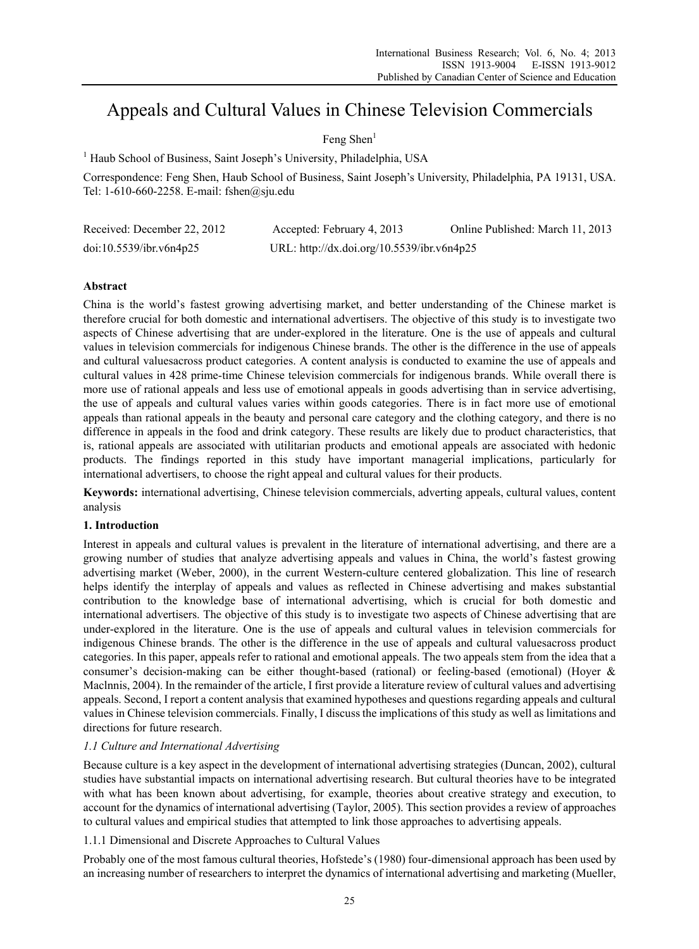# Appeals and Cultural Values in Chinese Television Commercials

# Feng  $Shen<sup>1</sup>$

<sup>1</sup> Haub School of Business, Saint Joseph's University, Philadelphia, USA

Correspondence: Feng Shen, Haub School of Business, Saint Joseph's University, Philadelphia, PA 19131, USA. Tel: 1-610-660-2258. E-mail: fshen@sju.edu

| Received: December 22, 2012 | Accepted: February 4, 2013                 | Online Published: March 11, 2013 |
|-----------------------------|--------------------------------------------|----------------------------------|
| doi:10.5539/ibr.v6n4p25     | URL: http://dx.doi.org/10.5539/ibr.v6n4p25 |                                  |

# **Abstract**

China is the world's fastest growing advertising market, and better understanding of the Chinese market is therefore crucial for both domestic and international advertisers. The objective of this study is to investigate two aspects of Chinese advertising that are under-explored in the literature. One is the use of appeals and cultural values in television commercials for indigenous Chinese brands. The other is the difference in the use of appeals and cultural valuesacross product categories. A content analysis is conducted to examine the use of appeals and cultural values in 428 prime-time Chinese television commercials for indigenous brands. While overall there is more use of rational appeals and less use of emotional appeals in goods advertising than in service advertising, the use of appeals and cultural values varies within goods categories. There is in fact more use of emotional appeals than rational appeals in the beauty and personal care category and the clothing category, and there is no difference in appeals in the food and drink category. These results are likely due to product characteristics, that is, rational appeals are associated with utilitarian products and emotional appeals are associated with hedonic products. The findings reported in this study have important managerial implications, particularly for international advertisers, to choose the right appeal and cultural values for their products.

**Keywords:** international advertising, Chinese television commercials, adverting appeals, cultural values, content analysis

## **1. Introduction**

Interest in appeals and cultural values is prevalent in the literature of international advertising, and there are a growing number of studies that analyze advertising appeals and values in China, the world's fastest growing advertising market (Weber, 2000), in the current Western-culture centered globalization. This line of research helps identify the interplay of appeals and values as reflected in Chinese advertising and makes substantial contribution to the knowledge base of international advertising, which is crucial for both domestic and international advertisers. The objective of this study is to investigate two aspects of Chinese advertising that are under-explored in the literature. One is the use of appeals and cultural values in television commercials for indigenous Chinese brands. The other is the difference in the use of appeals and cultural valuesacross product categories. In this paper, appeals refer to rational and emotional appeals. The two appeals stem from the idea that a consumer's decision-making can be either thought-based (rational) or feeling-based (emotional) (Hoyer & Maclnnis, 2004). In the remainder of the article, I first provide a literature review of cultural values and advertising appeals. Second, I report a content analysis that examined hypotheses and questions regarding appeals and cultural values in Chinese television commercials. Finally, I discuss the implications of this study as well as limitations and directions for future research.

## *1.1 Culture and International Advertising*

Because culture is a key aspect in the development of international advertising strategies (Duncan, 2002), cultural studies have substantial impacts on international advertising research. But cultural theories have to be integrated with what has been known about advertising, for example, theories about creative strategy and execution, to account for the dynamics of international advertising (Taylor, 2005). This section provides a review of approaches to cultural values and empirical studies that attempted to link those approaches to advertising appeals.

1.1.1 Dimensional and Discrete Approaches to Cultural Values

Probably one of the most famous cultural theories, Hofstede's (1980) four-dimensional approach has been used by an increasing number of researchers to interpret the dynamics of international advertising and marketing (Mueller,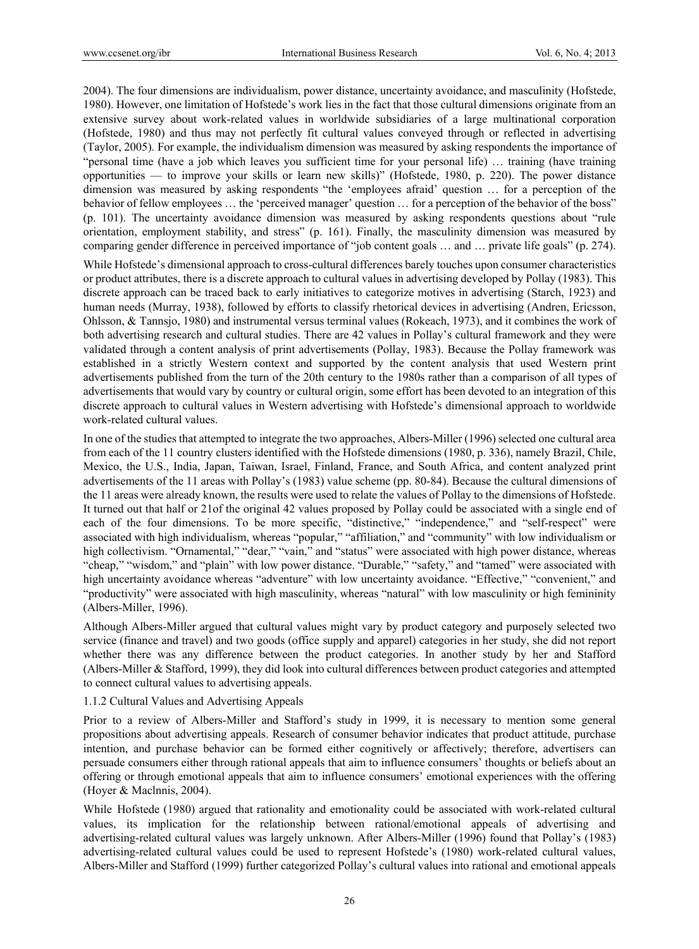2004). The four dimensions are individualism, power distance, uncertainty avoidance, and masculinity (Hofstede, 1980). However, one limitation of Hofstede's work lies in the fact that those cultural dimensions originate from an extensive survey about work-related values in worldwide subsidiaries of a large multinational corporation (Hofstede, 1980) and thus may not perfectly fit cultural values conveyed through or reflected in advertising (Taylor, 2005). For example, the individualism dimension was measured by asking respondents the importance of "personal time (have a job which leaves you sufficient time for your personal life) … training (have training opportunities — to improve your skills or learn new skills)" (Hofstede, 1980, p. 220). The power distance dimension was measured by asking respondents "the 'employees afraid' question … for a perception of the behavior of fellow employees ... the 'perceived manager' question ... for a perception of the behavior of the boss" (p. 101). The uncertainty avoidance dimension was measured by asking respondents questions about "rule orientation, employment stability, and stress" (p. 161). Finally, the masculinity dimension was measured by comparing gender difference in perceived importance of "job content goals … and … private life goals" (p. 274).

While Hofstede's dimensional approach to cross-cultural differences barely touches upon consumer characteristics or product attributes, there is a discrete approach to cultural values in advertising developed by Pollay (1983). This discrete approach can be traced back to early initiatives to categorize motives in advertising (Starch, 1923) and human needs (Murray, 1938), followed by efforts to classify rhetorical devices in advertising (Andren, Ericsson, Ohlsson, & Tannsjo, 1980) and instrumental versus terminal values (Rokeach, 1973), and it combines the work of both advertising research and cultural studies. There are 42 values in Pollay's cultural framework and they were validated through a content analysis of print advertisements (Pollay, 1983). Because the Pollay framework was established in a strictly Western context and supported by the content analysis that used Western print advertisements published from the turn of the 20th century to the 1980s rather than a comparison of all types of advertisements that would vary by country or cultural origin, some effort has been devoted to an integration of this discrete approach to cultural values in Western advertising with Hofstede's dimensional approach to worldwide work-related cultural values.

In one of the studies that attempted to integrate the two approaches, Albers-Miller (1996) selected one cultural area from each of the 11 country clusters identified with the Hofstede dimensions (1980, p. 336), namely Brazil, Chile, Mexico, the U.S., India, Japan, Taiwan, Israel, Finland, France, and South Africa, and content analyzed print advertisements of the 11 areas with Pollay's (1983) value scheme (pp. 80-84). Because the cultural dimensions of the 11 areas were already known, the results were used to relate the values of Pollay to the dimensions of Hofstede. It turned out that half or 21of the original 42 values proposed by Pollay could be associated with a single end of each of the four dimensions. To be more specific, "distinctive," "independence," and "self-respect" were associated with high individualism, whereas "popular," "affiliation," and "community" with low individualism or high collectivism. "Ornamental," "dear," "vain," and "status" were associated with high power distance, whereas "cheap," "wisdom," and "plain" with low power distance. "Durable," "safety," and "tamed" were associated with high uncertainty avoidance whereas "adventure" with low uncertainty avoidance. "Effective," "convenient," and "productivity" were associated with high masculinity, whereas "natural" with low masculinity or high femininity (Albers-Miller, 1996).

Although Albers-Miller argued that cultural values might vary by product category and purposely selected two service (finance and travel) and two goods (office supply and apparel) categories in her study, she did not report whether there was any difference between the product categories. In another study by her and Stafford (Albers-Miller & Stafford, 1999), they did look into cultural differences between product categories and attempted to connect cultural values to advertising appeals.

## 1.1.2 Cultural Values and Advertising Appeals

Prior to a review of Albers-Miller and Stafford's study in 1999, it is necessary to mention some general propositions about advertising appeals. Research of consumer behavior indicates that product attitude, purchase intention, and purchase behavior can be formed either cognitively or affectively; therefore, advertisers can persuade consumers either through rational appeals that aim to influence consumers' thoughts or beliefs about an offering or through emotional appeals that aim to influence consumers' emotional experiences with the offering (Hoyer & Maclnnis, 2004).

While Hofstede (1980) argued that rationality and emotionality could be associated with work-related cultural values, its implication for the relationship between rational/emotional appeals of advertising and advertising-related cultural values was largely unknown. After Albers-Miller (1996) found that Pollay's (1983) advertising-related cultural values could be used to represent Hofstede's (1980) work-related cultural values, Albers-Miller and Stafford (1999) further categorized Pollay's cultural values into rational and emotional appeals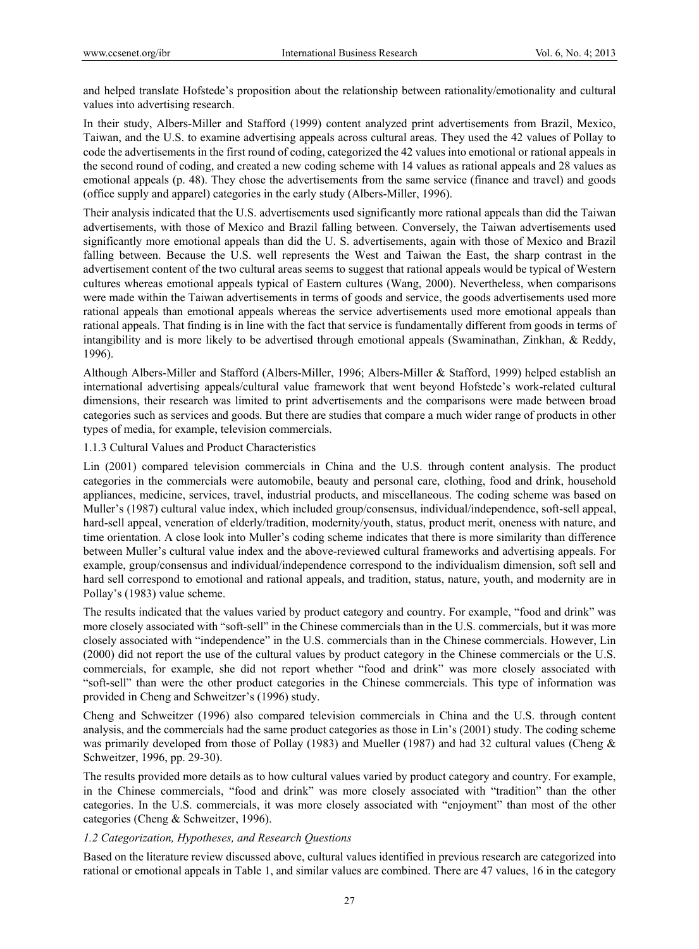and helped translate Hofstede's proposition about the relationship between rationality/emotionality and cultural values into advertising research.

In their study, Albers-Miller and Stafford (1999) content analyzed print advertisements from Brazil, Mexico, Taiwan, and the U.S. to examine advertising appeals across cultural areas. They used the 42 values of Pollay to code the advertisements in the first round of coding, categorized the 42 values into emotional or rational appeals in the second round of coding, and created a new coding scheme with 14 values as rational appeals and 28 values as emotional appeals (p. 48). They chose the advertisements from the same service (finance and travel) and goods (office supply and apparel) categories in the early study (Albers-Miller, 1996).

Their analysis indicated that the U.S. advertisements used significantly more rational appeals than did the Taiwan advertisements, with those of Mexico and Brazil falling between. Conversely, the Taiwan advertisements used significantly more emotional appeals than did the U. S. advertisements, again with those of Mexico and Brazil falling between. Because the U.S. well represents the West and Taiwan the East, the sharp contrast in the advertisement content of the two cultural areas seems to suggest that rational appeals would be typical of Western cultures whereas emotional appeals typical of Eastern cultures (Wang, 2000). Nevertheless, when comparisons were made within the Taiwan advertisements in terms of goods and service, the goods advertisements used more rational appeals than emotional appeals whereas the service advertisements used more emotional appeals than rational appeals. That finding is in line with the fact that service is fundamentally different from goods in terms of intangibility and is more likely to be advertised through emotional appeals (Swaminathan, Zinkhan, & Reddy, 1996).

Although Albers-Miller and Stafford (Albers-Miller, 1996; Albers-Miller & Stafford, 1999) helped establish an international advertising appeals/cultural value framework that went beyond Hofstede's work-related cultural dimensions, their research was limited to print advertisements and the comparisons were made between broad categories such as services and goods. But there are studies that compare a much wider range of products in other types of media, for example, television commercials.

1.1.3 Cultural Values and Product Characteristics

Lin (2001) compared television commercials in China and the U.S. through content analysis. The product categories in the commercials were automobile, beauty and personal care, clothing, food and drink, household appliances, medicine, services, travel, industrial products, and miscellaneous. The coding scheme was based on Muller's (1987) cultural value index, which included group/consensus, individual/independence, soft-sell appeal, hard-sell appeal, veneration of elderly/tradition, modernity/youth, status, product merit, oneness with nature, and time orientation. A close look into Muller's coding scheme indicates that there is more similarity than difference between Muller's cultural value index and the above-reviewed cultural frameworks and advertising appeals. For example, group/consensus and individual/independence correspond to the individualism dimension, soft sell and hard sell correspond to emotional and rational appeals, and tradition, status, nature, youth, and modernity are in Pollay's (1983) value scheme.

The results indicated that the values varied by product category and country. For example, "food and drink" was more closely associated with "soft-sell" in the Chinese commercials than in the U.S. commercials, but it was more closely associated with "independence" in the U.S. commercials than in the Chinese commercials. However, Lin (2000) did not report the use of the cultural values by product category in the Chinese commercials or the U.S. commercials, for example, she did not report whether "food and drink" was more closely associated with "soft-sell" than were the other product categories in the Chinese commercials. This type of information was provided in Cheng and Schweitzer's (1996) study.

Cheng and Schweitzer (1996) also compared television commercials in China and the U.S. through content analysis, and the commercials had the same product categories as those in Lin's (2001) study. The coding scheme was primarily developed from those of Pollay (1983) and Mueller (1987) and had 32 cultural values (Cheng & Schweitzer, 1996, pp. 29-30).

The results provided more details as to how cultural values varied by product category and country. For example, in the Chinese commercials, "food and drink" was more closely associated with "tradition" than the other categories. In the U.S. commercials, it was more closely associated with "enjoyment" than most of the other categories (Cheng & Schweitzer, 1996).

## *1.2 Categorization, Hypotheses, and Research Questions*

Based on the literature review discussed above, cultural values identified in previous research are categorized into rational or emotional appeals in Table 1, and similar values are combined. There are 47 values, 16 in the category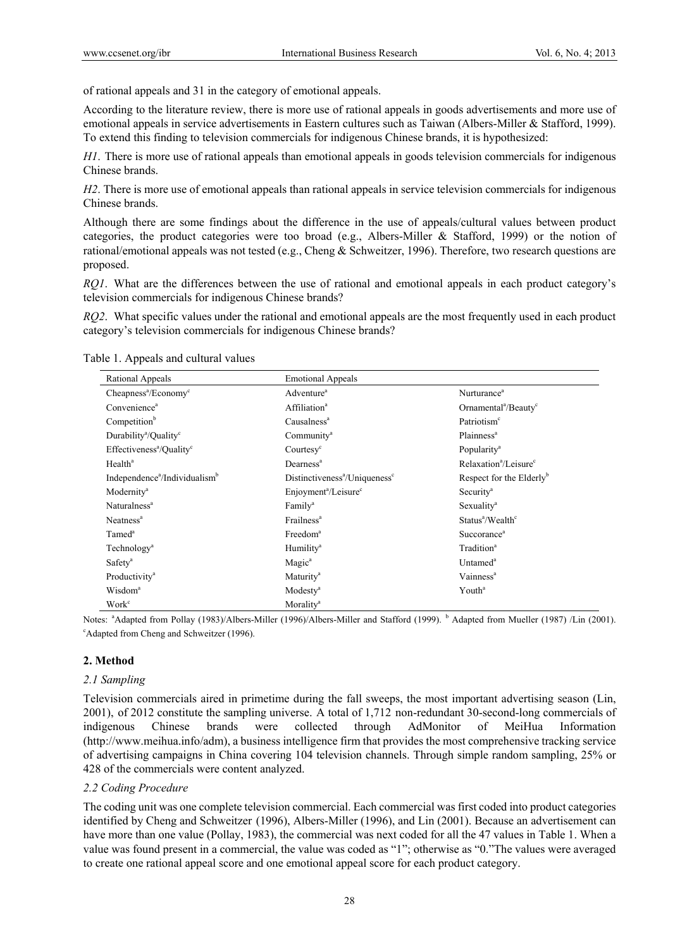of rational appeals and 31 in the category of emotional appeals.

According to the literature review, there is more use of rational appeals in goods advertisements and more use of emotional appeals in service advertisements in Eastern cultures such as Taiwan (Albers-Miller & Stafford, 1999). To extend this finding to television commercials for indigenous Chinese brands, it is hypothesized:

*H1*. There is more use of rational appeals than emotional appeals in goods television commercials for indigenous Chinese brands.

*H2*. There is more use of emotional appeals than rational appeals in service television commercials for indigenous Chinese brands.

Although there are some findings about the difference in the use of appeals/cultural values between product categories, the product categories were too broad (e.g., Albers-Miller & Stafford, 1999) or the notion of rational/emotional appeals was not tested (e.g., Cheng & Schweitzer, 1996). Therefore, two research questions are proposed.

*RQ1*. What are the differences between the use of rational and emotional appeals in each product category's television commercials for indigenous Chinese brands?

*RQ2*. What specific values under the rational and emotional appeals are the most frequently used in each product category's television commercials for indigenous Chinese brands?

| Rational Appeals                                      | <b>Emotional Appeals</b>                              |                                               |
|-------------------------------------------------------|-------------------------------------------------------|-----------------------------------------------|
| $Cheapnessa/Economyc$                                 | Adventure <sup>a</sup>                                | Nurturance <sup>a</sup>                       |
| Convenience <sup>a</sup>                              | Affiliation <sup>a</sup>                              | Ornamental <sup>a</sup> /Beauty <sup>c</sup>  |
| Competition <sup>b</sup>                              | Causalness <sup>a</sup>                               | Patriotism <sup>c</sup>                       |
| Durability <sup>a</sup> /Quality <sup>c</sup>         | Community <sup>a</sup>                                | Plainness <sup>a</sup>                        |
| Effectiveness <sup>a</sup> /Quality <sup>c</sup>      | Counter <sub>c</sub>                                  | Popularity <sup>a</sup>                       |
| Health <sup>a</sup>                                   | Dearness <sup>a</sup>                                 | Relaxation <sup>a</sup> /Leisure <sup>c</sup> |
| Independence <sup>a</sup> /Individualism <sup>b</sup> | Distinctiveness <sup>a</sup> /Uniqueness <sup>c</sup> | Respect for the Elderly <sup>b</sup>          |
| Modernity <sup>a</sup>                                | Enjoyment <sup>a</sup> /Leisure <sup>c</sup>          | Security <sup>a</sup>                         |
| Naturalness <sup>a</sup>                              | Family <sup>a</sup>                                   | Sexuality <sup>a</sup>                        |
| Neatness <sup>a</sup>                                 | Frailness <sup>a</sup>                                | Status <sup>a</sup> /Wealth <sup>c</sup>      |
| Tamed <sup>a</sup>                                    | Freedom <sup>a</sup>                                  | Succorance <sup>a</sup>                       |
| Technology <sup>a</sup>                               | Humility <sup>a</sup>                                 | Tradition <sup>a</sup>                        |
| Safety <sup>a</sup>                                   | Magic <sup>a</sup>                                    | Untamed <sup>a</sup>                          |
| Productivity <sup>a</sup>                             | Maturity <sup>a</sup>                                 | Vainness <sup>a</sup>                         |
| Wisdom <sup>a</sup>                                   | Modesty <sup>a</sup>                                  | Youth <sup>a</sup>                            |
| Work <sup>c</sup>                                     | Morality <sup>a</sup>                                 |                                               |

Table 1. Appeals and cultural values

Notes: <sup>a</sup>Adapted from Pollay (1983)/Albers-Miller (1996)/Albers-Miller and Stafford (1999). <sup>b</sup> Adapted from Mueller (1987) /Lin (2001). c Adapted from Cheng and Schweitzer (1996).

# **2. Method**

# *2.1 Sampling*

Television commercials aired in primetime during the fall sweeps, the most important advertising season (Lin, 2001), of 2012 constitute the sampling universe. A total of 1,712 non-redundant 30-second-long commercials of indigenous Chinese brands were collected through AdMonitor of MeiHua Information (http://www.meihua.info/adm), a business intelligence firm that provides the most comprehensive tracking service of advertising campaigns in China covering 104 television channels. Through simple random sampling, 25% or 428 of the commercials were content analyzed.

## *2.2 Coding Procedure*

The coding unit was one complete television commercial. Each commercial was first coded into product categories identified by Cheng and Schweitzer (1996), Albers-Miller (1996), and Lin (2001). Because an advertisement can have more than one value (Pollay, 1983), the commercial was next coded for all the 47 values in Table 1. When a value was found present in a commercial, the value was coded as "1"; otherwise as "0."The values were averaged to create one rational appeal score and one emotional appeal score for each product category.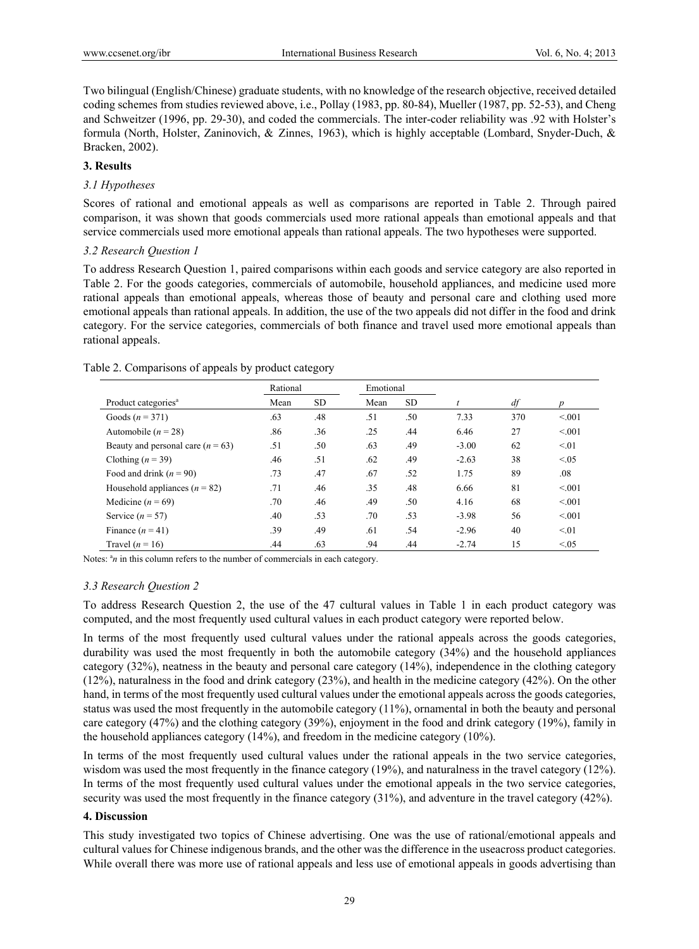Two bilingual (English/Chinese) graduate students, with no knowledge of the research objective, received detailed coding schemes from studies reviewed above, i.e., Pollay (1983, pp. 80-84), Mueller (1987, pp. 52-53), and Cheng and Schweitzer (1996, pp. 29-30), and coded the commercials. The inter-coder reliability was .92 with Holster's formula (North, Holster, Zaninovich, & Zinnes, 1963), which is highly acceptable (Lombard, Snyder-Duch, & Bracken, 2002).

#### **3. Results**

## *3.1 Hypotheses*

Scores of rational and emotional appeals as well as comparisons are reported in Table 2. Through paired comparison, it was shown that goods commercials used more rational appeals than emotional appeals and that service commercials used more emotional appeals than rational appeals. The two hypotheses were supported.

## *3.2 Research Question 1*

To address Research Question 1, paired comparisons within each goods and service category are also reported in Table 2. For the goods categories, commercials of automobile, household appliances, and medicine used more rational appeals than emotional appeals, whereas those of beauty and personal care and clothing used more emotional appeals than rational appeals. In addition, the use of the two appeals did not differ in the food and drink category. For the service categories, commercials of both finance and travel used more emotional appeals than rational appeals.

#### Table 2. Comparisons of appeals by product category

| Product categories <sup>a</sup>     | Rational |           | Emotional |           |         |     |                  |
|-------------------------------------|----------|-----------|-----------|-----------|---------|-----|------------------|
|                                     | Mean     | <b>SD</b> | Mean      | <b>SD</b> |         | df  | $\boldsymbol{D}$ |
| Goods $(n = 371)$                   | .63      | .48       | .51       | .50       | 7.33    | 370 | < 0.01           |
| Automobile $(n = 28)$               | .86      | .36       | .25       | .44       | 6.46    | 27  | < 0.01           |
| Beauty and personal care $(n = 63)$ | .51      | .50       | .63       | .49       | $-3.00$ | 62  | $\leq 0.01$      |
| Clothing $(n = 39)$                 | .46      | .51       | .62       | .49       | $-2.63$ | 38  | < 0.05           |
| Food and drink $(n = 90)$           | .73      | .47       | .67       | .52       | 1.75    | 89  | .08              |
| Household appliances $(n = 82)$     | .71      | .46       | .35       | .48       | 6.66    | 81  | < 0.01           |
| Medicine ( $n = 69$ )               | .70      | .46       | .49       | .50       | 4.16    | 68  | < 0.01           |
| Service $(n = 57)$                  | .40      | .53       | .70       | .53       | $-3.98$ | 56  | < 0.01           |
| Finance $(n = 41)$                  | .39      | .49       | .61       | .54       | $-2.96$ | 40  | < 01             |
| Travel $(n = 16)$                   | .44      | .63       | .94       | .44       | $-2.74$ | 15  | < 0.05           |

Notes:  $a_n$  in this column refers to the number of commercials in each category.

## *3.3 Research Question 2*

To address Research Question 2, the use of the 47 cultural values in Table 1 in each product category was computed, and the most frequently used cultural values in each product category were reported below.

In terms of the most frequently used cultural values under the rational appeals across the goods categories, durability was used the most frequently in both the automobile category (34%) and the household appliances category (32%), neatness in the beauty and personal care category (14%), independence in the clothing category (12%), naturalness in the food and drink category (23%), and health in the medicine category (42%). On the other hand, in terms of the most frequently used cultural values under the emotional appeals across the goods categories, status was used the most frequently in the automobile category (11%), ornamental in both the beauty and personal care category (47%) and the clothing category (39%), enjoyment in the food and drink category (19%), family in the household appliances category (14%), and freedom in the medicine category (10%).

In terms of the most frequently used cultural values under the rational appeals in the two service categories, wisdom was used the most frequently in the finance category (19%), and naturalness in the travel category (12%). In terms of the most frequently used cultural values under the emotional appeals in the two service categories, security was used the most frequently in the finance category (31%), and adventure in the travel category (42%).

#### **4. Discussion**

This study investigated two topics of Chinese advertising. One was the use of rational/emotional appeals and cultural values for Chinese indigenous brands, and the other was the difference in the useacross product categories. While overall there was more use of rational appeals and less use of emotional appeals in goods advertising than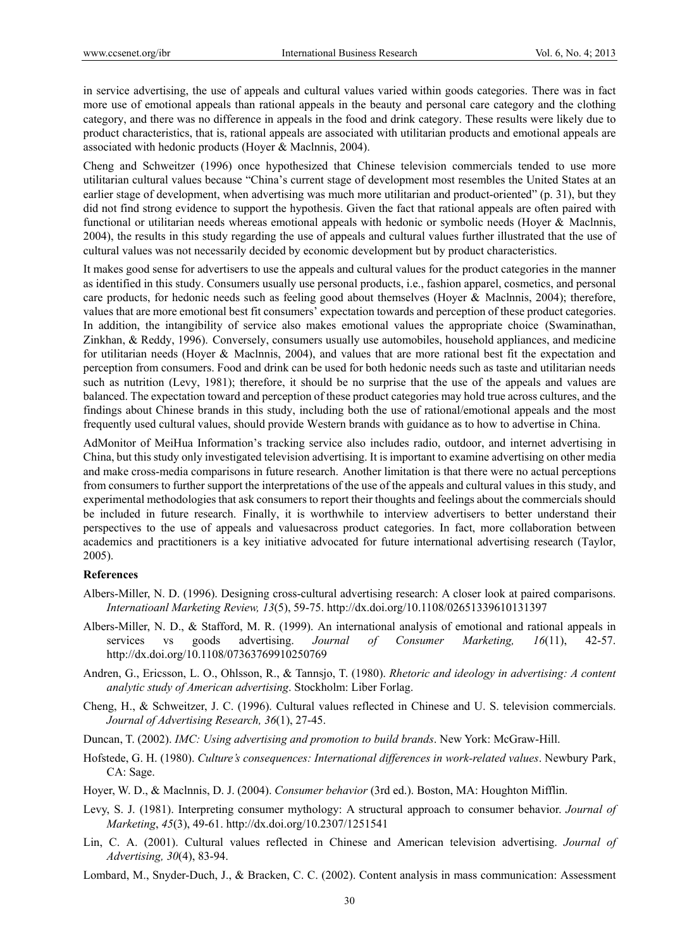in service advertising, the use of appeals and cultural values varied within goods categories. There was in fact more use of emotional appeals than rational appeals in the beauty and personal care category and the clothing category, and there was no difference in appeals in the food and drink category. These results were likely due to product characteristics, that is, rational appeals are associated with utilitarian products and emotional appeals are associated with hedonic products (Hoyer & Maclnnis, 2004).

Cheng and Schweitzer (1996) once hypothesized that Chinese television commercials tended to use more utilitarian cultural values because "China's current stage of development most resembles the United States at an earlier stage of development, when advertising was much more utilitarian and product-oriented" (p. 31), but they did not find strong evidence to support the hypothesis. Given the fact that rational appeals are often paired with functional or utilitarian needs whereas emotional appeals with hedonic or symbolic needs (Hoyer & Maclnnis, 2004), the results in this study regarding the use of appeals and cultural values further illustrated that the use of cultural values was not necessarily decided by economic development but by product characteristics.

It makes good sense for advertisers to use the appeals and cultural values for the product categories in the manner as identified in this study. Consumers usually use personal products, i.e., fashion apparel, cosmetics, and personal care products, for hedonic needs such as feeling good about themselves (Hoyer & Maclnnis, 2004); therefore, values that are more emotional best fit consumers' expectation towards and perception of these product categories. In addition, the intangibility of service also makes emotional values the appropriate choice (Swaminathan, Zinkhan, & Reddy, 1996). Conversely, consumers usually use automobiles, household appliances, and medicine for utilitarian needs (Hoyer & Maclnnis, 2004), and values that are more rational best fit the expectation and perception from consumers. Food and drink can be used for both hedonic needs such as taste and utilitarian needs such as nutrition (Levy, 1981); therefore, it should be no surprise that the use of the appeals and values are balanced. The expectation toward and perception of these product categories may hold true across cultures, and the findings about Chinese brands in this study, including both the use of rational/emotional appeals and the most frequently used cultural values, should provide Western brands with guidance as to how to advertise in China.

AdMonitor of MeiHua Information's tracking service also includes radio, outdoor, and internet advertising in China, but this study only investigated television advertising. It is important to examine advertising on other media and make cross-media comparisons in future research. Another limitation is that there were no actual perceptions from consumers to further support the interpretations of the use of the appeals and cultural values in this study, and experimental methodologies that ask consumers to report their thoughts and feelings about the commercials should be included in future research. Finally, it is worthwhile to interview advertisers to better understand their perspectives to the use of appeals and valuesacross product categories. In fact, more collaboration between academics and practitioners is a key initiative advocated for future international advertising research (Taylor, 2005).

#### **References**

- Albers-Miller, N. D. (1996). Designing cross-cultural advertising research: A closer look at paired comparisons. *Internatioanl Marketing Review, 13*(5), 59-75. http://dx.doi.org/10.1108/02651339610131397
- Albers-Miller, N. D., & Stafford, M. R. (1999). An international analysis of emotional and rational appeals in services vs goods advertising. *Journal of Consumer Marketing, 16*(11), 42-57. http://dx.doi.org/10.1108/07363769910250769
- Andren, G., Ericsson, L. O., Ohlsson, R., & Tannsjo, T. (1980). *Rhetoric and ideology in advertising: A content analytic study of American advertising*. Stockholm: Liber Forlag.
- Cheng, H., & Schweitzer, J. C. (1996). Cultural values reflected in Chinese and U. S. television commercials. *Journal of Advertising Research, 36*(1), 27-45.
- Duncan, T. (2002). *IMC: Using advertising and promotion to build brands*. New York: McGraw-Hill.
- Hofstede, G. H. (1980). *Culture's consequences: International differences in work-related values*. Newbury Park, CA: Sage.
- Hoyer, W. D., & Maclnnis, D. J. (2004). *Consumer behavior* (3rd ed.). Boston, MA: Houghton Mifflin.
- Levy, S. J. (1981). Interpreting consumer mythology: A structural approach to consumer behavior. *Journal of Marketing*, *45*(3), 49-61. http://dx.doi.org/10.2307/1251541
- Lin, C. A. (2001). Cultural values reflected in Chinese and American television advertising. *Journal of Advertising, 30*(4), 83-94.
- Lombard, M., Snyder-Duch, J., & Bracken, C. C. (2002). Content analysis in mass communication: Assessment